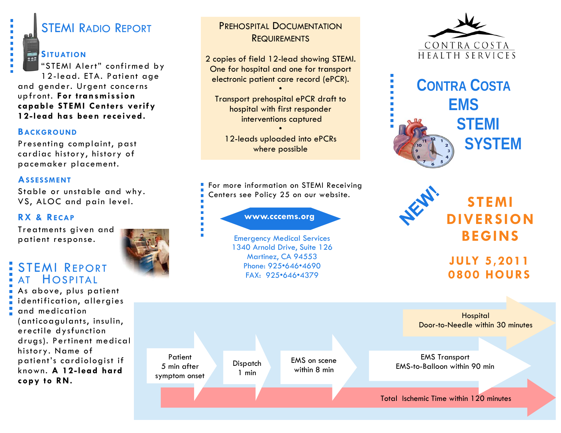# STEMI RADIO REPORT

#### **SITUATION**

r

Ī.  $\overline{\phantom{a}}$ 

"STEMI Alert" confirmed by 12-lead. ETA. Patient age and gender. Urgent concerns upfront. **For transmission capable STEMI Centers verify 12-lead has been received.** 

#### **BACKGROUND**

Presenting complaint, past cardiac history, history of pacemaker placement.

#### **ASSESSMENT**

Stable or unstable and why. VS, ALOC and pain level.

### **RX & RECAP**

Treatments given and patient response.

## STEMI REPORT AT HOSPITAL

As above, plus patient identification, allergies and medication (anticoagulants, insulin, erectile dysfunction drugs). Pertinent medical history. Name of patient's cardiologist if known. **A 12-lead hard copy to RN.** 

### PREHOSPITAL DOCUMENTATION**REQUIREMENTS**

2 copies of field 12-lead showing STEMI. One for hospital and one for transport electronic patient care record (ePCR).

•

Transport prehospital ePCR draft to hospital with first responder interventions captured

•

12-leads uploaded into ePCRs where possible

For more information on STEMI Receiving Centers see Policy 25 on our website.

www.cccems.org

Emergency Medical Services 1340 Arnold Drive, Suite 126 Martinez, CA 94553 Phone: 925•646•4690 FAX: 925•646•4379